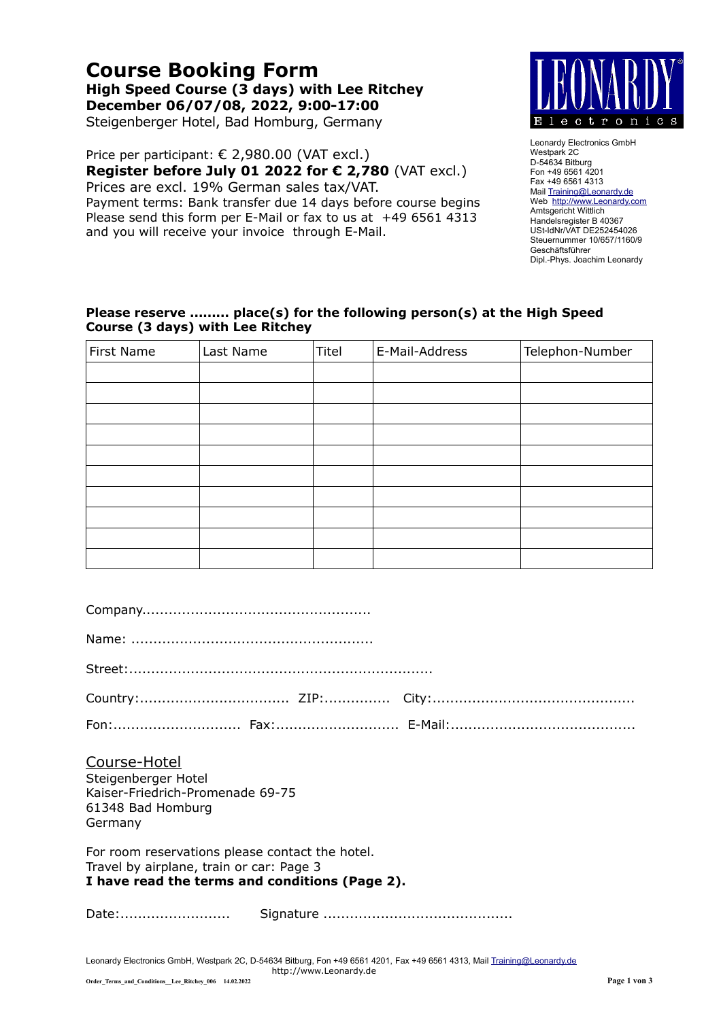# **Course Booking Form High Speed Course (3 days) with Lee Ritchey December 06/07/08, 2022, 9:00-17:00**

Steigenberger Hotel, Bad Homburg, Germany

Price per participant: € 2,980.00 (VAT excl.) **Register before July 01 2022 for € 2,780** (VAT excl.) Prices are excl. 19% German sales tax/VAT.

Payment terms: Bank transfer due 14 days before course begins Please send this form per E-Mail or fax to us at +49 6561 4313 and you will receive your invoice through E-Mail.



Leonardy Electronics GmbH Westpark 2C D-54634 Bitburg Fon +49 6561 4201 Fax +49 6561 4313 Mail [Training@Leonardy.de](mailto:Training@Leonardy.de) Web [http://www.Leonardy.com](http://www.Leonardy.com/) Amtsgericht Wittlich Handelsregister B 40367 USt-IdNr/VAT DE252454026 Steuernummer 10/657/1160/9 Geschäftsführer Dipl.-Phys. Joachim Leonardy

#### **Please reserve ......... place(s) for the following person(s) at the High Speed Course (3 days) with Lee Ritchey**

| First Name | Last Name | Titel | E-Mail-Address | Telephon-Number |
|------------|-----------|-------|----------------|-----------------|
|            |           |       |                |                 |
|            |           |       |                |                 |
|            |           |       |                |                 |
|            |           |       |                |                 |
|            |           |       |                |                 |
|            |           |       |                |                 |
|            |           |       |                |                 |
|            |           |       |                |                 |
|            |           |       |                |                 |
|            |           |       |                |                 |

| Course-Hotel<br>Steigenberger Hotel<br>Kaiser-Friedrich-Promenade 69-75<br>61348 Bad Homburg<br>Germany                                       |  |  |  |  |
|-----------------------------------------------------------------------------------------------------------------------------------------------|--|--|--|--|
| For room reservations please contact the hotel.<br>Travel by airplane, train or car: Page 3<br>I have read the terms and conditions (Page 2). |  |  |  |  |
|                                                                                                                                               |  |  |  |  |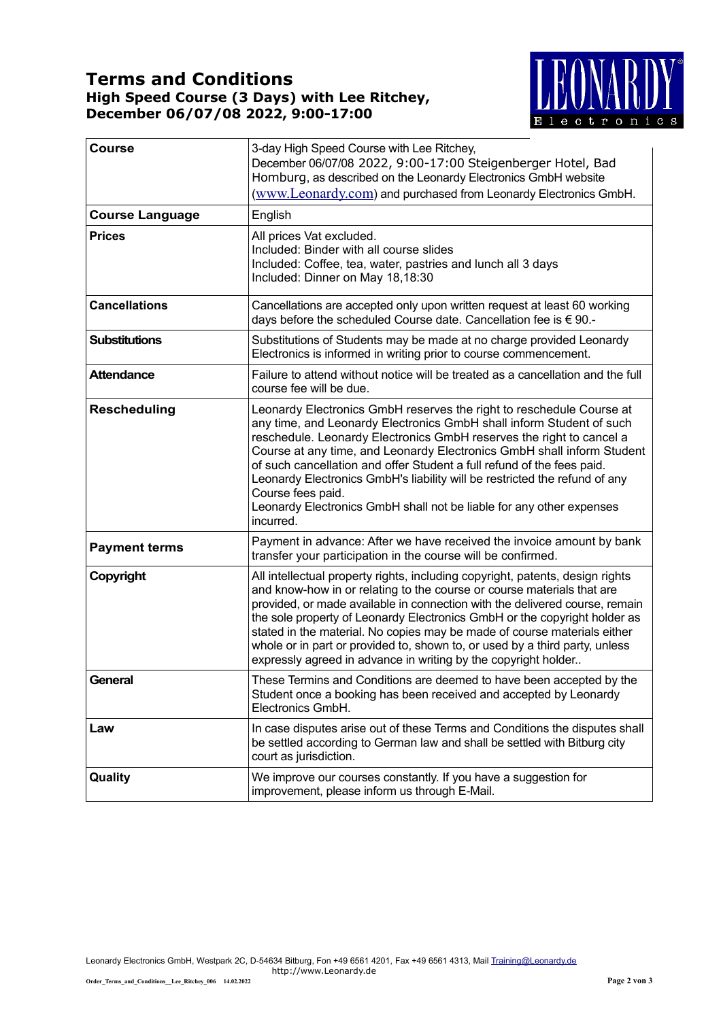### **Terms and Conditions High Speed Course (3 Days) with Lee Ritchey, December 06/07/08 2022, 9:00-17:00**



| <b>Course</b>          | 3-day High Speed Course with Lee Ritchey,<br>December 06/07/08 2022, 9:00-17:00 Steigenberger Hotel, Bad<br>Homburg, as described on the Leonardy Electronics GmbH website<br>(www.Leonardy.com) and purchased from Leonardy Electronics GmbH.                                                                                                                                                                                                                                                                                                                   |  |
|------------------------|------------------------------------------------------------------------------------------------------------------------------------------------------------------------------------------------------------------------------------------------------------------------------------------------------------------------------------------------------------------------------------------------------------------------------------------------------------------------------------------------------------------------------------------------------------------|--|
| <b>Course Language</b> | English                                                                                                                                                                                                                                                                                                                                                                                                                                                                                                                                                          |  |
| <b>Prices</b>          | All prices Vat excluded.<br>Included: Binder with all course slides<br>Included: Coffee, tea, water, pastries and lunch all 3 days<br>Included: Dinner on May 18,18:30                                                                                                                                                                                                                                                                                                                                                                                           |  |
| <b>Cancellations</b>   | Cancellations are accepted only upon written request at least 60 working<br>days before the scheduled Course date. Cancellation fee is € 90.-                                                                                                                                                                                                                                                                                                                                                                                                                    |  |
| <b>Substitutions</b>   | Substitutions of Students may be made at no charge provided Leonardy<br>Electronics is informed in writing prior to course commencement.                                                                                                                                                                                                                                                                                                                                                                                                                         |  |
| <b>Attendance</b>      | Failure to attend without notice will be treated as a cancellation and the full<br>course fee will be due.                                                                                                                                                                                                                                                                                                                                                                                                                                                       |  |
| <b>Rescheduling</b>    | Leonardy Electronics GmbH reserves the right to reschedule Course at<br>any time, and Leonardy Electronics GmbH shall inform Student of such<br>reschedule. Leonardy Electronics GmbH reserves the right to cancel a<br>Course at any time, and Leonardy Electronics GmbH shall inform Student<br>of such cancellation and offer Student a full refund of the fees paid.<br>Leonardy Electronics GmbH's liability will be restricted the refund of any<br>Course fees paid.<br>Leonardy Electronics GmbH shall not be liable for any other expenses<br>incurred. |  |
| <b>Payment terms</b>   | Payment in advance: After we have received the invoice amount by bank<br>transfer your participation in the course will be confirmed.                                                                                                                                                                                                                                                                                                                                                                                                                            |  |
| Copyright              | All intellectual property rights, including copyright, patents, design rights<br>and know-how in or relating to the course or course materials that are<br>provided, or made available in connection with the delivered course, remain<br>the sole property of Leonardy Electronics GmbH or the copyright holder as<br>stated in the material. No copies may be made of course materials either<br>whole or in part or provided to, shown to, or used by a third party, unless<br>expressly agreed in advance in writing by the copyright holder                 |  |
| General                | These Termins and Conditions are deemed to have been accepted by the<br>Student once a booking has been received and accepted by Leonardy<br>Electronics GmbH.                                                                                                                                                                                                                                                                                                                                                                                                   |  |
| Law                    | In case disputes arise out of these Terms and Conditions the disputes shall<br>be settled according to German law and shall be settled with Bitburg city<br>court as jurisdiction.                                                                                                                                                                                                                                                                                                                                                                               |  |
| Quality                | We improve our courses constantly. If you have a suggestion for<br>improvement, please inform us through E-Mail.                                                                                                                                                                                                                                                                                                                                                                                                                                                 |  |

Leonardy Electronics GmbH, Westpark 2C, D-54634 Bitburg, Fon +49 6561 4201, Fax +49 6561 4313, Mail <u>Training@Leonardy.de</u> http://www.Leonardy.de